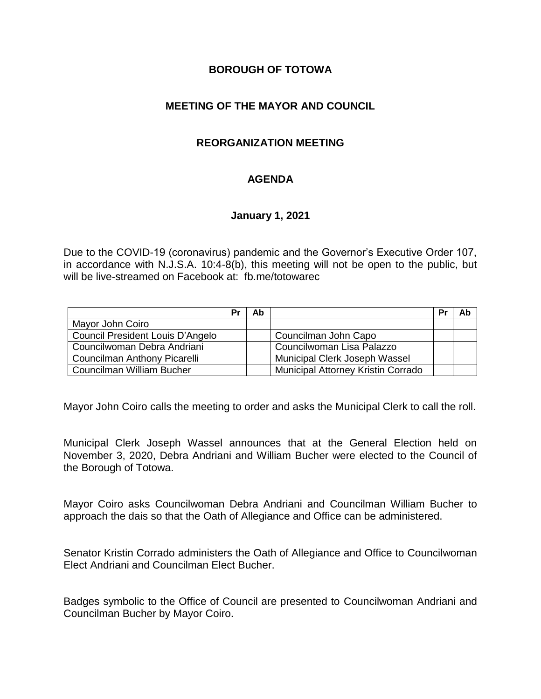# **BOROUGH OF TOTOWA**

# **MEETING OF THE MAYOR AND COUNCIL**

# **REORGANIZATION MEETING**

# **AGENDA**

#### **January 1, 2021**

Due to the COVID-19 (coronavirus) pandemic and the Governor's Executive Order 107, in accordance with N.J.S.A. 10:4-8(b), this meeting will not be open to the public, but will be live-streamed on Facebook at: fb.me/totowarec

|                                     | <b>Pr</b> | Ab |                                           | Pr | Ab |
|-------------------------------------|-----------|----|-------------------------------------------|----|----|
| Mayor John Coiro                    |           |    |                                           |    |    |
| Council President Louis D'Angelo    |           |    | Councilman John Capo                      |    |    |
| Councilwoman Debra Andriani         |           |    | Councilwoman Lisa Palazzo                 |    |    |
| <b>Councilman Anthony Picarelli</b> |           |    | Municipal Clerk Joseph Wassel             |    |    |
| Councilman William Bucher           |           |    | <b>Municipal Attorney Kristin Corrado</b> |    |    |

Mayor John Coiro calls the meeting to order and asks the Municipal Clerk to call the roll.

Municipal Clerk Joseph Wassel announces that at the General Election held on November 3, 2020, Debra Andriani and William Bucher were elected to the Council of the Borough of Totowa.

Mayor Coiro asks Councilwoman Debra Andriani and Councilman William Bucher to approach the dais so that the Oath of Allegiance and Office can be administered.

Senator Kristin Corrado administers the Oath of Allegiance and Office to Councilwoman Elect Andriani and Councilman Elect Bucher.

Badges symbolic to the Office of Council are presented to Councilwoman Andriani and Councilman Bucher by Mayor Coiro.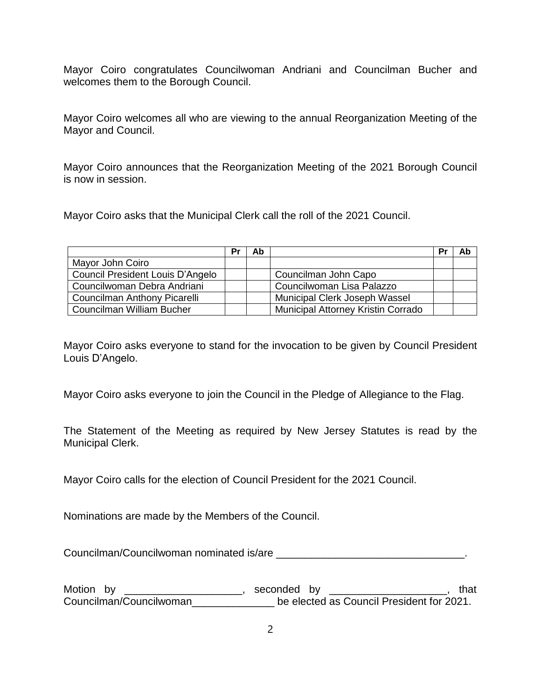Mayor Coiro congratulates Councilwoman Andriani and Councilman Bucher and welcomes them to the Borough Council.

Mayor Coiro welcomes all who are viewing to the annual Reorganization Meeting of the Mayor and Council.

Mayor Coiro announces that the Reorganization Meeting of the 2021 Borough Council is now in session.

Mayor Coiro asks that the Municipal Clerk call the roll of the 2021 Council.

|                                     | Pı | Ab |                                           | Pr | Ab |
|-------------------------------------|----|----|-------------------------------------------|----|----|
| Mayor John Coiro                    |    |    |                                           |    |    |
| Council President Louis D'Angelo    |    |    | Councilman John Capo                      |    |    |
| Councilwoman Debra Andriani         |    |    | Councilwoman Lisa Palazzo                 |    |    |
| <b>Councilman Anthony Picarelli</b> |    |    | <b>Municipal Clerk Joseph Wassel</b>      |    |    |
| Councilman William Bucher           |    |    | <b>Municipal Attorney Kristin Corrado</b> |    |    |

Mayor Coiro asks everyone to stand for the invocation to be given by Council President Louis D'Angelo.

Mayor Coiro asks everyone to join the Council in the Pledge of Allegiance to the Flag.

The Statement of the Meeting as required by New Jersey Statutes is read by the Municipal Clerk.

Mayor Coiro calls for the election of Council President for the 2021 Council.

Nominations are made by the Members of the Council.

Councilman/Councilwoman nominated is/are \_\_\_\_\_\_\_\_\_\_\_\_\_\_\_\_\_\_\_\_\_\_\_\_\_\_\_\_\_\_\_\_.

Motion by \_\_\_\_\_\_\_\_\_\_\_\_\_\_\_\_\_\_\_\_\_, seconded by \_\_\_\_\_\_\_\_\_\_\_\_\_\_\_\_\_\_\_\_\_\_, that Councilman/Councilwoman\_\_\_\_\_\_\_\_\_\_\_\_\_\_ be elected as Council President for 2021.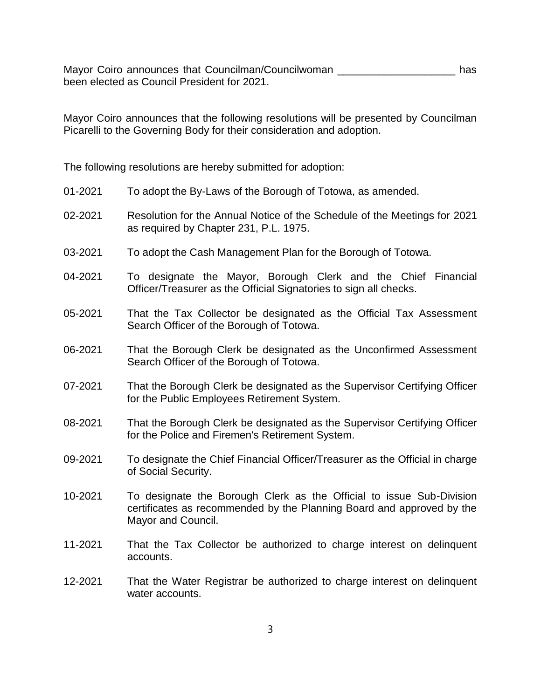Mayor Coiro announces that Councilman/Councilwoman \_\_\_\_\_\_\_\_\_\_\_\_\_\_\_\_\_\_\_\_\_\_\_\_ has been elected as Council President for 2021.

Mayor Coiro announces that the following resolutions will be presented by Councilman Picarelli to the Governing Body for their consideration and adoption.

The following resolutions are hereby submitted for adoption:

| 01-2021 | To adopt the By-Laws of the Borough of Totowa, as amended.                                                                                                          |
|---------|---------------------------------------------------------------------------------------------------------------------------------------------------------------------|
| 02-2021 | Resolution for the Annual Notice of the Schedule of the Meetings for 2021<br>as required by Chapter 231, P.L. 1975.                                                 |
| 03-2021 | To adopt the Cash Management Plan for the Borough of Totowa.                                                                                                        |
| 04-2021 | To designate the Mayor, Borough Clerk and the Chief Financial<br>Officer/Treasurer as the Official Signatories to sign all checks.                                  |
| 05-2021 | That the Tax Collector be designated as the Official Tax Assessment<br>Search Officer of the Borough of Totowa.                                                     |
| 06-2021 | That the Borough Clerk be designated as the Unconfirmed Assessment<br>Search Officer of the Borough of Totowa.                                                      |
| 07-2021 | That the Borough Clerk be designated as the Supervisor Certifying Officer<br>for the Public Employees Retirement System.                                            |
| 08-2021 | That the Borough Clerk be designated as the Supervisor Certifying Officer<br>for the Police and Firemen's Retirement System.                                        |
| 09-2021 | To designate the Chief Financial Officer/Treasurer as the Official in charge<br>of Social Security.                                                                 |
| 10-2021 | To designate the Borough Clerk as the Official to issue Sub-Division<br>certificates as recommended by the Planning Board and approved by the<br>Mayor and Council. |
| 11-2021 | That the Tax Collector be authorized to charge interest on delinquent<br>accounts.                                                                                  |
| 12-2021 | That the Water Registrar be authorized to charge interest on delinquent<br>water accounts.                                                                          |